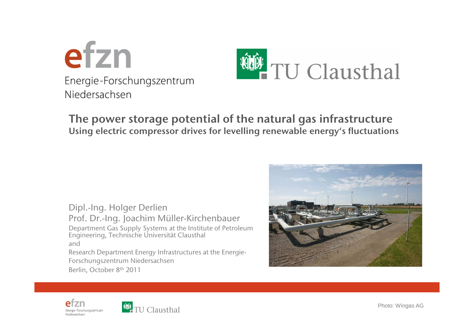



#### **The power storage potential of the natural gas infrastructureUsing electric compressor drives for levelling renewable energy's fluctuations**

Dipl.-Ing. Holger Derlien Prof. Dr.-Ing. Joachim Müller-Kirchenbauer Department Gas Supply Systems at the Institute of Petroleum Engineering, Technische Universität Clausthaland Research Department Energy Infrastructures at the Energie-Forschungszentrum NiedersachsenBerlin, October <sup>8</sup>th <sup>2011</sup>







Photo: Wingas AG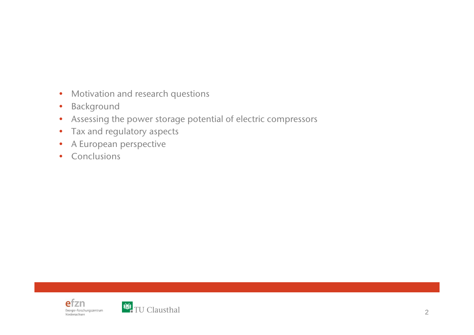- Motivation and research questions
- •Background
- Assessing the power storage potential of electric compressors •
- •Tax and regulatory aspects
- •A European perspective
- Conclusions

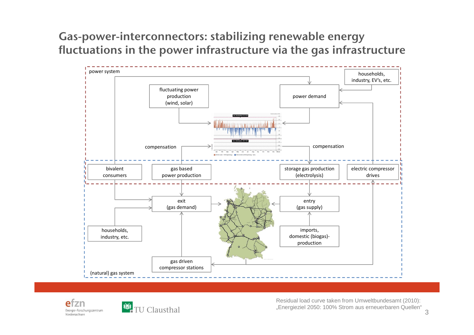**Gas-power-interconnectors: stabilizing renewable energyfluctuations in the power infrastructure via the gas infrastructure**







Residual load curve taken from Umweltbundesamt (2010): "Energieziel 2050: 100% Strom aus erneuerbaren Quellen"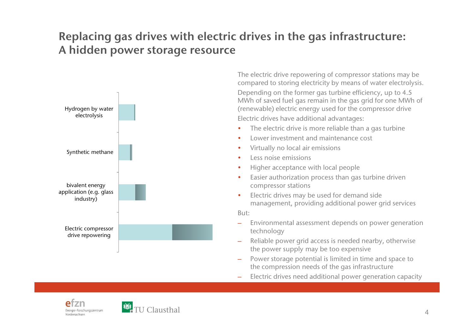### **Replacing gas drives with electric drives in the gas infrastructure: A hidden power storage resource**



The electric drive repowering of compressor stations may be compare<sup>d</sup> to storing electricity by means of water electrolysis. Depending on the former gas turbine efficiency, up to 4.5 MWh of saved fuel gas remain in the gas grid for one MWh of (renewable) electric energy used for the compressor driveElectric drives have additional advantages:

- The electric drive is more reliable than a gas turbine
- •Lower investment and maintenance cost
- •Virtually no local air emissions
- •Less noise emissions
- Higher acceptance with local people
- • Easier authorization process than gas turbine drivencompressor stations
- • Electric drives may be used for demand sidemanagement, providing additional power grid services

But:

- – Environmental assessment depends on power generationtechnology
- Reliable power grid access is needed nearby, otherwise –the power supply may be too expensive
- Power storage potential is limited in time and space tothe compression needs of the gas infrastructure
- Electric drives need additional power generation capacity



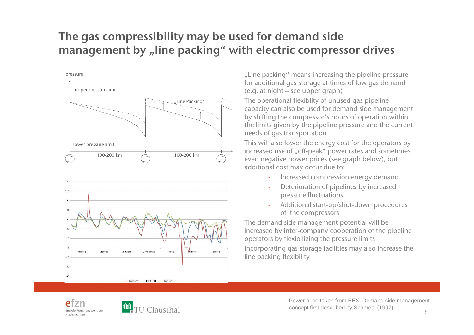# **The gas compressibility may be used for demand sidemanagemen<sup>t</sup> by "line packing" with electric compressor drives**



..Line packing " means increasing the pipeline pressure for additional gas storage at times of low gas demand(e.g. at night – see upper graph)

The operational flexiblity of unused gas pipeline capacity can also be used for demand side managemen<sup>t</sup> by shifting the compressor's hours of operation within the limits <sup>g</sup>iven by the <sup>p</sup>ipeline pressure and the current needs of gas transportation

 This will also lower the energy cost for the operators byincreased use of "off-peak" power rates and sometimes even negative power prices (see grap<sup>h</sup> below), but additional cost may occur due to:

- Increased compression energy demand
- Deterioration of <sup>p</sup>ipelines by increasedpressure fluctuations
- Additional start-up/shut-down proceduresof the compressors

The demand side managemen<sup>t</sup> potential will be increased by inter-company cooperation of the <sup>p</sup>ipelineoperators by flexibilizing the pressure limits

Incorporating gas storage facilities may also increase theline packing flexibility





Power price taken from EEX. Demand side management concept first described by Schmeal (1997)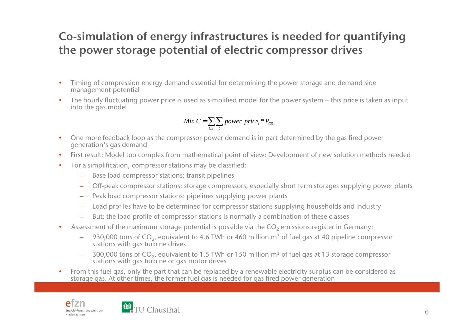## **Co-simulation of energy infrastructures is needed for quantifyingthe power storage potential of electric compressor drives**

- • Timing of compression energy demand essential for determining the power storage and demand sidemanagemen<sup>t</sup> potential
- • The hourly fluctuating power price is used as simplified model for the power system – this price is taken as input into the gas model

Min 
$$
C = \sum_{CS} \sum_{t}
$$
 power price<sub>t</sub> \*  $P_{CS,t}$ 

- • One more feedback loop as the compressor power demand is in part determined by the gas fired power generation's gas demand
- First result: Model too complex from mathematical point of view: Development of new solution methods needed $\bullet$
- $\bullet$  For a simplification, compressor stations may be classified:
	- Base load compressor stations: transit <sup>p</sup>ipelines
	- Off-peak compressor stations: storage compressors, especially short term storages supplying power plants
	- Peak load compressor stations: pipelines supplying power plants
	- –Load profiles have to be determined for compressor stations supplying households and industry
	- But: the load profile of compressor stations is normally a combination of these classes
- •Assessment of the maximum storage potential is possible via the  $CO_2$  emissions register in Germany:
	- $-$  930,000 tons of  $CO_2$ , equivalent to 4.6 TWh or 460 million m<sup>3</sup> of fuel gas at 40 pipeline compressor stations with gas turbine drives
	- 300,000 tons of  $CO<sub>2</sub>$ , equivalent to 1.5 TWh or 150 million m<sup>3</sup> of fuel gas at 13 storage compressor stations with gas turbine or gas motor drives
- • From this fuel gas, only the par<sup>t</sup> that can be replaced by a renewable electricity surplus can be considered as storage gas. At other times, the former fuel gas is needed for gas fired power generation



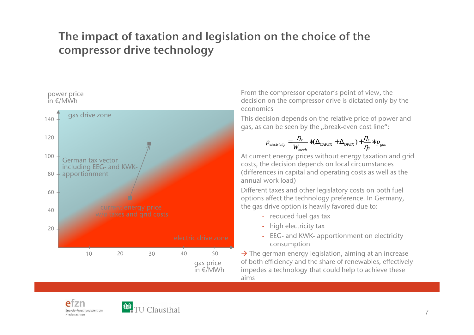## **The impact of taxation and legislation on the choice of thecompressor drive technology**





From the compressor operator's point of view, the decision on the compressor drive is dictated only by theeconomics

This decision depends on the relative price of power an<sup>d</sup>gas, as can be seen by the "break-even cost line":

$$
p_{electricity} = \frac{\eta_e}{W_{mech}} * (\Delta_{CAPEX} + \Delta_{OPEX}) + \frac{\eta_e}{\eta_s} * p_{gas}
$$

 At current energy prices without energy taxation and gridcosts, the decision depends on local circumstances (differences in capital and operating costs as well as theannual work load)

Different taxes and other legislatory costs on both fuel options affect the technology preference. In Germany, the gas drive option is heavily favored due to:

- reduced fuel gas tax
- high electricity tax
- EEG- and KWK- apportionment on electricityconsumption

 $\rightarrow$  The german energy legislation, aiming at an increase<br>of both efficiency and the share of renewables, effective of both efficiency and the share of renewables, effectivelyimpedes a technology that could help to achieve theseaims



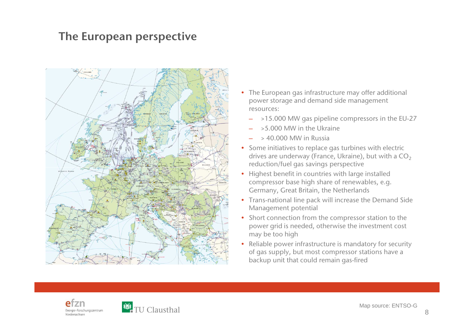#### **The European perspective**



- The European gas infrastructure may offer additional power storage and demand side managemen<sup>t</sup> resources:
	- –>15.000 MW gas pipeline compressors in the EU-27
	- >5.000 MW in the Ukraine
	- –> 40.000 MW in Russia
- Some initiatives to replace gas turbines with electric drives are underway (France, Ukraine), but with a  $CO<sub>2</sub>$ reduction/fuel gas savings perspective
- Highest benefit in countries with large installed compressor base high share of renewables, e.g. Germany, Great Britain, the Netherlands
- Trans-national line pack will increase the Demand Side Management potential
- Short connection from the compressor station to the power grid is needed, otherwise the investment cost may be too high
- Reliable power infrastructure is mandatory for securityof gas supply, but most compressor stations have <sup>a</sup> backup unit that could remain gas-fired



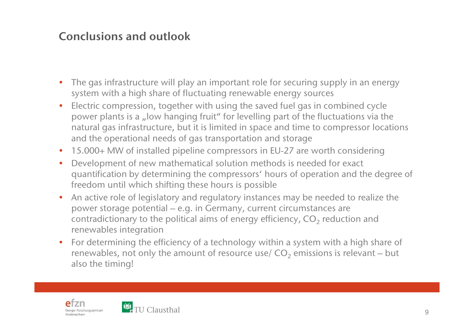### **Conclusions and outlook**

- $\bullet$  The gas infrastructure will play an important role for securing supply in an energysystem with a high share of fluctuating renewable energy sources
- • Electric compression, together with using the saved fuel gas in combined cyclepower plants is a "low hanging fruit" for levelling part of the fluctuations via the natural gas infrastructure, but it is limited in space and time to compressor locations and the operational needs of gas transportation and storage
- 15.000+ MW of installed <sup>p</sup>ipeline compressors in EU-27 are worth considering
- $\bullet$ • Development of new mathematical solution methods is needed for exact<br>quantification by determining the compressent' bours of eperation and the quantification by determining the compressors' hours of operation and the degree of freedom until which shifting these hours is possible
- An active role of legislatory and regulatory instances may be needed to realize the•power storage potential – e.g. in Germany, current circumstances arecontradictionary to the political aims of energy efficiency,  $\mathsf{CO}_2$  reduction and renewables integration
- For determining the efficiency of a technology within a system with a high share of •renewables, not only the amount of resource use/  $CO_2$  emissions is relevant – but also the timing!